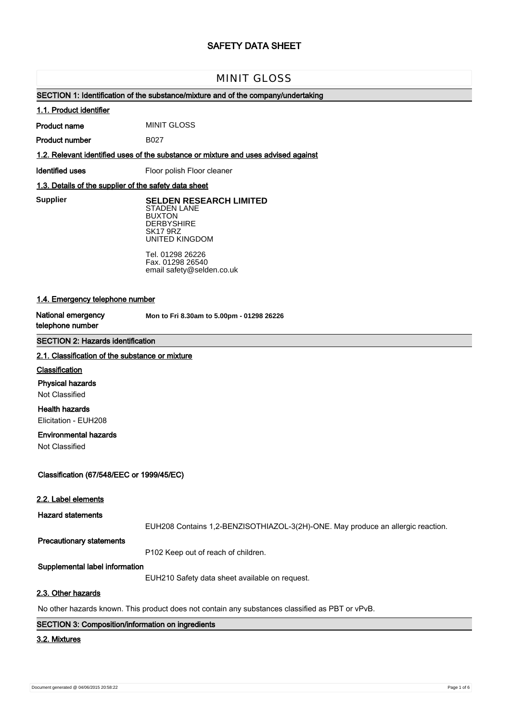# **SAFETY DATA SHEET**

# MINIT GLOSS

# **SECTION 1: Identification of the substance/mixture and of the company/undertaking**

#### **1.1. Product identifier**

**Product name** MINIT GLOSS

**Product number**

**1.2. Relevant identified uses of the substance or mixture and uses advised against**

B027

**Identified uses** Floor polish Floor cleaner

# **1.3. Details of the supplier of the safety data sheet**

**Supplier** 

**SELDEN RESEARCH LIMITED** STADEN LANE BUXTON **DERBYSHIRE** SK17 9RZ UNITED KINGDOM

Tel. 01298 26226 Fax. 01298 26540 email safety@selden.co.uk

# **1.4. Emergency telephone number**

**National emergency telephone number**

**Mon to Fri 8.30am to 5.00pm - 01298 26226**

# **SECTION 2: Hazards identification**

#### **2.1. Classification of the substance or mixture**

# **Classification**

**Physical hazards**

Not Classified

# **Health hazards**

Elicitation - EUH208

# **Environmental hazards**

Not Classified

# **Classification (67/548/EEC or 1999/45/EC)**

### **2.2. Label elements**

**Hazard statements**

EUH208 Contains 1,2-BENZISOTHIAZOL-3(2H)-ONE. May produce an allergic reaction.

# **Precautionary statements**

P102 Keep out of reach of children.

# **Supplemental label information**

EUH210 Safety data sheet available on request.

# **2.3. Other hazards**

No other hazards known. This product does not contain any substances classified as PBT or vPvB.

### **SECTION 3: Composition/information on ingredients**

#### **3.2. Mixtures**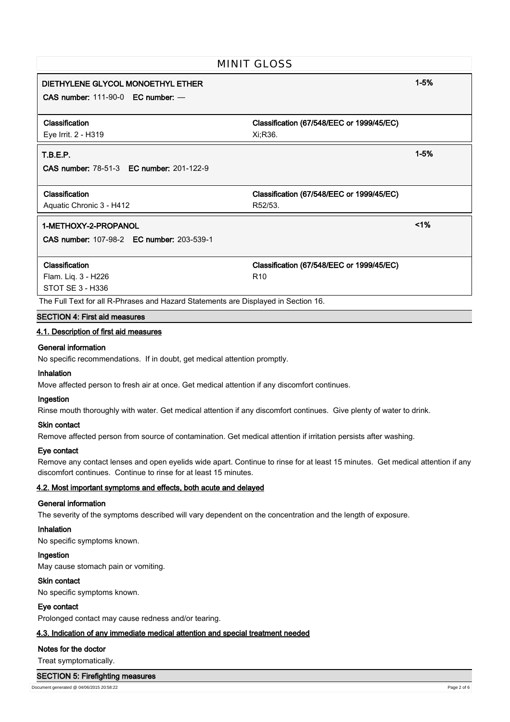| <b>MINIT GLOSS</b>                                                                 |                                           |          |
|------------------------------------------------------------------------------------|-------------------------------------------|----------|
| DIETHYLENE GLYCOL MONOETHYL ETHER<br>CAS number: $111-90-0$ EC number: $-$         |                                           | $1 - 5%$ |
|                                                                                    |                                           |          |
| Classification                                                                     | Classification (67/548/EEC or 1999/45/EC) |          |
| Eye Irrit. 2 - H319                                                                | Xi:R36.                                   |          |
| T.B.E.P.                                                                           |                                           | $1 - 5%$ |
| <b>CAS number: 78-51-3 EC number: 201-122-9</b>                                    |                                           |          |
| Classification                                                                     | Classification (67/548/EEC or 1999/45/EC) |          |
| Aquatic Chronic 3 - H412                                                           | R52/53.                                   |          |
| 1-METHOXY-2-PROPANOL                                                               |                                           | 1%       |
| <b>CAS number: 107-98-2 EC number: 203-539-1</b>                                   |                                           |          |
| <b>Classification</b>                                                              | Classification (67/548/EEC or 1999/45/EC) |          |
| Flam. Liq. 3 - H226                                                                | R <sub>10</sub>                           |          |
| STOT SE 3 - H336                                                                   |                                           |          |
| The Full Text for all R-Phrases and Hazard Statements are Displayed in Section 16. |                                           |          |

#### **SECTION 4: First aid measures**

# **4.1. Description of first aid measures**

#### **General information**

No specific recommendations. If in doubt, get medical attention promptly.

# **Inhalation**

Move affected person to fresh air at once. Get medical attention if any discomfort continues.

#### **Ingestion**

Rinse mouth thoroughly with water. Get medical attention if any discomfort continues. Give plenty of water to drink.

#### **Skin contact**

Remove affected person from source of contamination. Get medical attention if irritation persists after washing.

#### **Eye contact**

Remove any contact lenses and open eyelids wide apart. Continue to rinse for at least 15 minutes. Get medical attention if any discomfort continues. Continue to rinse for at least 15 minutes.

# **4.2. Most important symptoms and effects, both acute and delayed**

### **General information**

The severity of the symptoms described will vary dependent on the concentration and the length of exposure.

# **Inhalation**

No specific symptoms known.

## **Ingestion**

May cause stomach pain or vomiting.

# **Skin contact**

No specific symptoms known.

# **Eye contact**

Prolonged contact may cause redness and/or tearing.

# **4.3. Indication of any immediate medical attention and special treatment needed**

#### **Notes for the doctor**

Treat symptomatically.

#### **SECTION 5: Firefighting measures**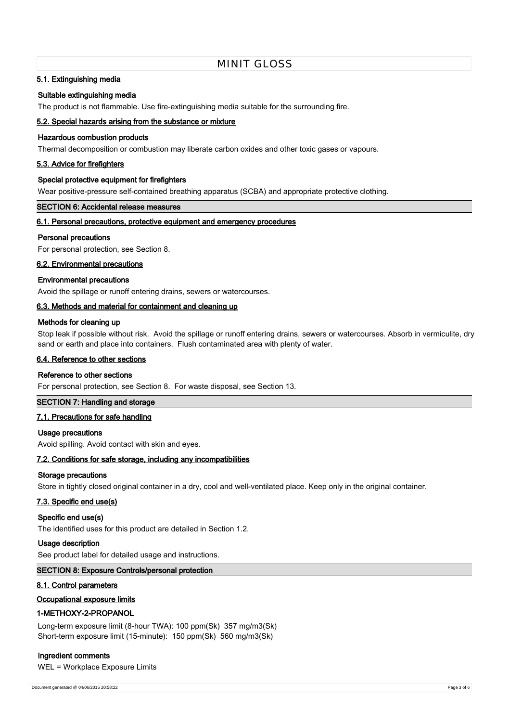# MINIT GLOSS

# **5.1. Extinguishing media**

#### **Suitable extinguishing media**

The product is not flammable. Use fire-extinguishing media suitable for the surrounding fire.

# **5.2. Special hazards arising from the substance or mixture**

# **Hazardous combustion products**

Thermal decomposition or combustion may liberate carbon oxides and other toxic gases or vapours.

#### **5.3. Advice for firefighters**

#### **Special protective equipment for firefighters**

Wear positive-pressure self-contained breathing apparatus (SCBA) and appropriate protective clothing.

# **SECTION 6: Accidental release measures**

# **6.1. Personal precautions, protective equipment and emergency procedures**

#### **Personal precautions**

For personal protection, see Section 8.

#### **6.2. Environmental precautions**

#### **Environmental precautions**

Avoid the spillage or runoff entering drains, sewers or watercourses.

# **6.3. Methods and material for containment and cleaning up**

# **Methods for cleaning up**

Stop leak if possible without risk. Avoid the spillage or runoff entering drains, sewers or watercourses. Absorb in vermiculite, dry sand or earth and place into containers. Flush contaminated area with plenty of water.

#### **6.4. Reference to other sections**

#### **Reference to other sections**

For personal protection, see Section 8. For waste disposal, see Section 13.

# **SECTION 7: Handling and storage**

# **7.1. Precautions for safe handling**

#### **Usage precautions**

Avoid spilling. Avoid contact with skin and eyes.

### **7.2. Conditions for safe storage, including any incompatibilities**

#### **Storage precautions**

Store in tightly closed original container in a dry, cool and well-ventilated place. Keep only in the original container.

# **7.3. Specific end use(s)**

#### **Specific end use(s)**

The identified uses for this product are detailed in Section 1.2.

#### **Usage description**

See product label for detailed usage and instructions.

# **SECTION 8: Exposure Controls/personal protection**

#### **8.1. Control parameters**

# **Occupational exposure limits**

#### **1-METHOXY-2-PROPANOL**

Long-term exposure limit (8-hour TWA): 100 ppm(Sk) 357 mg/m3(Sk) Short-term exposure limit (15-minute): 150 ppm(Sk) 560 mg/m3(Sk)

# **Ingredient comments**

WEL = Workplace Exposure Limits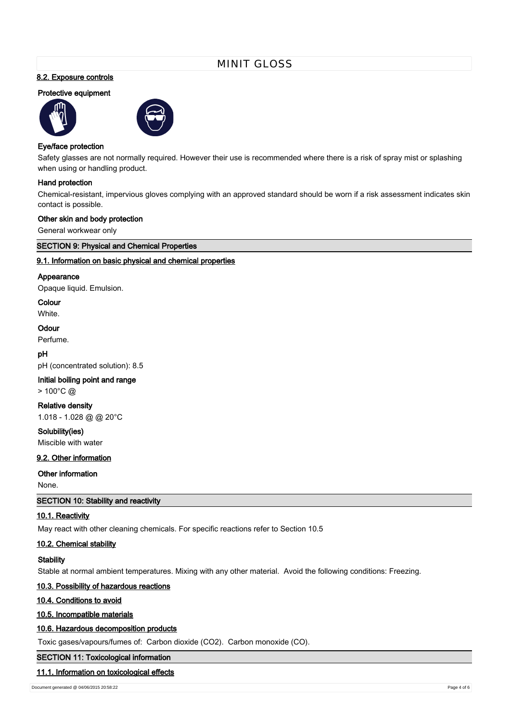# MINIT GLOSS

# **8.2. Exposure controls**

# **Protective equipment**





# **Eye/face protection**

Safety glasses are not normally required. However their use is recommended where there is a risk of spray mist or splashing when using or handling product.

#### **Hand protection**

Chemical-resistant, impervious gloves complying with an approved standard should be worn if a risk assessment indicates skin contact is possible.

#### **Other skin and body protection**

General workwear only

**SECTION 9: Physical and Chemical Properties**

# **9.1. Information on basic physical and chemical properties**

#### **Appearance**

Opaque liquid. Emulsion.

#### **Colour**

White.

# **Odour**

Perfume.

# **pH**

pH (concentrated solution): 8.5

# **Initial boiling point and range**

 $> 100^{\circ}$ C @

#### **Relative density**

1.018 - 1.028 @ @ 20°C

**Solubility(ies)** Miscible with water

# **9.2. Other information**

# **Other information**

None.

# **SECTION 10: Stability and reactivity**

# **10.1. Reactivity**

May react with other cleaning chemicals. For specific reactions refer to Section 10.5

#### **10.2. Chemical stability**

#### **Stability**

Stable at normal ambient temperatures. Mixing with any other material. Avoid the following conditions: Freezing.

# **10.3. Possibility of hazardous reactions**

**10.4. Conditions to avoid**

# **10.5. Incompatible materials**

# **10.6. Hazardous decomposition products**

Toxic gases/vapours/fumes of: Carbon dioxide (CO2). Carbon monoxide (CO).

# **SECTION 11: Toxicological information**

# **11.1. Information on toxicological effects**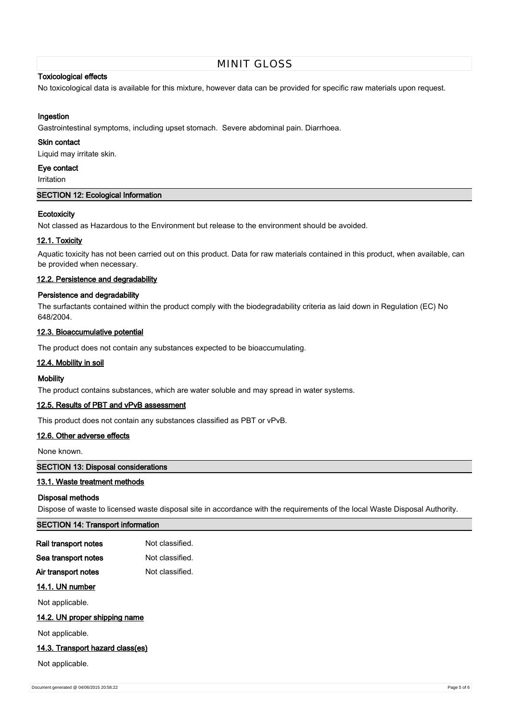# MINIT GLOSS

# **Toxicological effects**

No toxicological data is available for this mixture, however data can be provided for specific raw materials upon request.

# **Ingestion**

Gastrointestinal symptoms, including upset stomach. Severe abdominal pain. Diarrhoea.

#### **Skin contact**

Liquid may irritate skin.

# **Eye contact**

Irritation

# **SECTION 12: Ecological Information**

# **Ecotoxicity**

Not classed as Hazardous to the Environment but release to the environment should be avoided.

# **12.1. Toxicity**

Aquatic toxicity has not been carried out on this product. Data for raw materials contained in this product, when available, can be provided when necessary.

# **12.2. Persistence and degradability**

# **Persistence and degradability**

The surfactants contained within the product comply with the biodegradability criteria as laid down in Regulation (EC) No 648/2004.

# **12.3. Bioaccumulative potential**

The product does not contain any substances expected to be bioaccumulating.

# **12.4. Mobility in soil**

#### **Mobility**

The product contains substances, which are water soluble and may spread in water systems.

# **12.5. Results of PBT and vPvB assessment**

This product does not contain any substances classified as PBT or vPvB.

# **12.6. Other adverse effects**

None known.

# **SECTION 13: Disposal considerations**

# **13.1. Waste treatment methods**

#### **Disposal methods**

Dispose of waste to licensed waste disposal site in accordance with the requirements of the local Waste Disposal Authority.

# **SECTION 14: Transport information**

| Rail transport notes | Not classified. |
|----------------------|-----------------|
| Sea transport notes  | Not classified. |

# Air transport notes Not classified.

# **14.1. UN number**

Not applicable.

# **14.2. UN proper shipping name**

Not applicable.

#### **14.3. Transport hazard class(es)**

Not applicable.